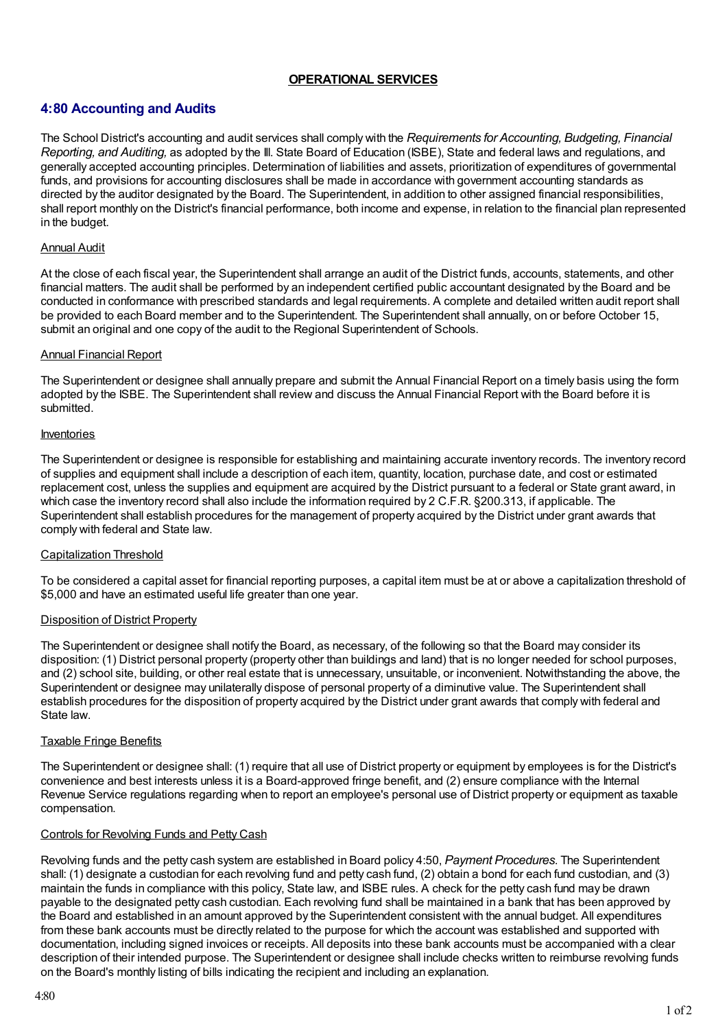# **OPERATIONAL SERVICES**

# **4:80 Accounting and Audits**

The School District's accounting and audit services shall comply with the *Requirements for Accounting, Budgeting, Financial Reporting, and Auditing,* as adopted by the Ill. State Board of Education (ISBE), State and federal laws and regulations, and generally accepted accounting principles. Determination of liabilities and assets, prioritization of expenditures of governmental funds, and provisions for accounting disclosures shall be made in accordance with government accounting standards as directed by the auditor designated by the Board. The Superintendent, in addition to other assigned financial responsibilities, shall report monthly on the District's financial performance, both income and expense, in relation to the financial plan represented in the budget.

#### Annual Audit

At the close of each fiscal year, the Superintendent shall arrange an audit of the District funds, accounts, statements, and other financial matters. The audit shall be performed by an independent certified public accountant designated by the Board and be conducted in conformance with prescribed standards and legal requirements. A complete and detailed written audit report shall be provided to each Board member and to the Superintendent. The Superintendent shall annually, on or before October 15, submit an original and one copy of the audit to the Regional Superintendent of Schools.

#### Annual Financial Report

The Superintendent or designee shall annually prepare and submit the Annual Financial Report on a timely basis using the form adopted by the ISBE. The Superintendent shall review and discuss the Annual Financial Report with the Board before it is submitted.

#### Inventories

The Superintendent or designee is responsible for establishing and maintaining accurate inventory records. The inventory record of supplies and equipment shall include a description of each item, quantity, location, purchase date, and cost or estimated replacement cost, unless the supplies and equipment are acquired by the District pursuant to a federal or State grant award, in which case the inventory record shall also include the information required by 2 C.F.R. §200.313, if applicable. The Superintendent shall establish procedures for the management of property acquired by the District under grant awards that comply with federal and State law.

## Capitalization Threshold

To be considered a capital asset for financial reporting purposes, a capital item must be at or above a capitalization threshold of \$5,000 and have an estimated useful life greater than one year.

## Disposition of District Property

The Superintendent or designee shall notify the Board, as necessary, of the following so that the Board may consider its disposition: (1) District personal property (property other than buildings and land) that is no longer needed for school purposes, and (2) school site, building, or other real estate that is unnecessary, unsuitable, or inconvenient. Notwithstanding the above, the Superintendent or designee may unilaterally dispose of personal property of a diminutive value. The Superintendent shall establish procedures for the disposition of property acquired by the District under grant awards that comply with federal and State law.

#### Taxable Fringe Benefits

The Superintendent or designee shall: (1) require that all use of District property or equipment by employees is for the District's convenience and best interests unless it is a Board-approved fringe benefit, and (2) ensure compliance with the Internal Revenue Service regulations regarding when to report an employee's personal use of District property or equipment as taxable compensation.

## Controls for Revolving Funds and Petty Cash

Revolving funds and the petty cash system are established in Board policy 4:50, *Payment Procedures*. The Superintendent shall: (1) designate a custodian for each revolving fund and petty cash fund, (2) obtain a bond for each fund custodian, and (3) maintain the funds in compliance with this policy, State law, and ISBE rules. A check for the petty cash fund may be drawn payable to the designated petty cash custodian. Each revolving fund shall be maintained in a bank that has been approved by the Board and established in an amount approved by the Superintendent consistent with the annual budget. All expenditures from these bank accounts must be directly related to the purpose for which the account was established and supported with documentation, including signed invoices or receipts. All deposits into these bank accounts must be accompanied with a clear description of their intended purpose. The Superintendent or designee shall include checks written to reimburse revolving funds on the Board's monthly listing of bills indicating the recipient and including an explanation.